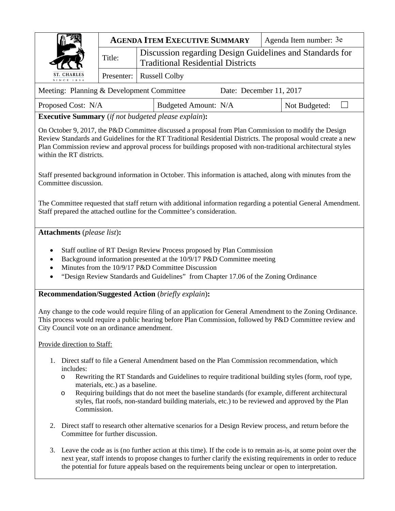| ST. CHARLES<br>SINCE 1834                 | <b>AGENDA ITEM EXECUTIVE SUMMARY</b> |                                                                                                      | Agenda Item number: 3e  |
|-------------------------------------------|--------------------------------------|------------------------------------------------------------------------------------------------------|-------------------------|
|                                           | Title:                               | Discussion regarding Design Guidelines and Standards for<br><b>Traditional Residential Districts</b> |                         |
|                                           |                                      | Presenter:   Russell Colby                                                                           |                         |
| Meeting: Planning & Development Committee |                                      |                                                                                                      | Date: December 11, 2017 |

| Proposed Cost: N/A | Budgeted Amount: N/A | Not Budgeted: |
|--------------------|----------------------|---------------|
|                    |                      |               |

**Executive Summary** (*if not budgeted please explain*)**:**

On October 9, 2017, the P&D Committee discussed a proposal from Plan Commission to modify the Design Review Standards and Guidelines for the RT Traditional Residential Districts. The proposal would create a new Plan Commission review and approval process for buildings proposed with non-traditional architectural styles within the RT districts.

Staff presented background information in October. This information is attached, along with minutes from the Committee discussion.

The Committee requested that staff return with additional information regarding a potential General Amendment. Staff prepared the attached outline for the Committee's consideration.

### **Attachments** (*please list*)**:**

- Staff outline of RT Design Review Process proposed by Plan Commission
- Background information presented at the 10/9/17 P&D Committee meeting
- Minutes from the 10/9/17 P&D Committee Discussion
- "Design Review Standards and Guidelines" from Chapter 17.06 of the Zoning Ordinance

### **Recommendation/Suggested Action** (*briefly explain*)**:**

Any change to the code would require filing of an application for General Amendment to the Zoning Ordinance. This process would require a public hearing before Plan Commission, followed by P&D Committee review and City Council vote on an ordinance amendment.

Provide direction to Staff:

- 1. Direct staff to file a General Amendment based on the Plan Commission recommendation, which includes:
	- o Rewriting the RT Standards and Guidelines to require traditional building styles (form, roof type, materials, etc.) as a baseline.
	- o Requiring buildings that do not meet the baseline standards (for example, different architectural styles, flat roofs, non-standard building materials, etc.) to be reviewed and approved by the Plan Commission.
- 2. Direct staff to research other alternative scenarios for a Design Review process, and return before the Committee for further discussion.
- 3. Leave the code as is (no further action at this time). If the code is to remain as-is, at some point over the next year, staff intends to propose changes to further clarify the existing requirements in order to reduce the potential for future appeals based on the requirements being unclear or open to interpretation.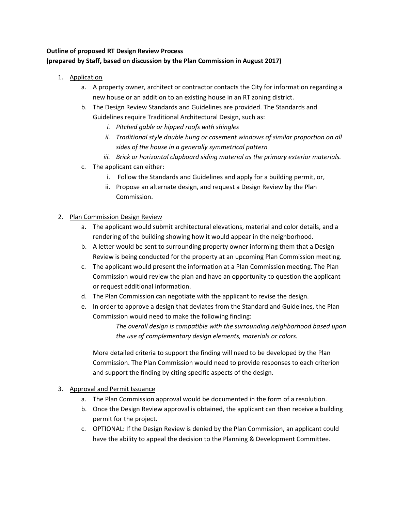### **Outline of proposed RT Design Review Process (prepared by Staff, based on discussion by the Plan Commission in August 2017)**

- 1. Application
	- a. A property owner, architect or contractor contacts the City for information regarding a new house or an addition to an existing house in an RT zoning district.
	- b. The Design Review Standards and Guidelines are provided. The Standards and Guidelines require Traditional Architectural Design, such as:
		- *i. Pitched gable or hipped roofs with shingles*
		- *ii. Traditional style double hung or casement windows of similar proportion on all sides of the house in a generally symmetrical pattern*
		- *iii. Brick or horizontal clapboard siding material as the primary exterior materials.*
	- c. The applicant can either:
		- i. Follow the Standards and Guidelines and apply for a building permit, or,
		- ii. Propose an alternate design, and request a Design Review by the Plan Commission.

#### 2. Plan Commission Design Review

- a. The applicant would submit architectural elevations, material and color details, and a rendering of the building showing how it would appear in the neighborhood.
- b. A letter would be sent to surrounding property owner informing them that a Design Review is being conducted for the property at an upcoming Plan Commission meeting.
- c. The applicant would present the information at a Plan Commission meeting. The Plan Commission would review the plan and have an opportunity to question the applicant or request additional information.
- d. The Plan Commission can negotiate with the applicant to revise the design.
- e. In order to approve a design that deviates from the Standard and Guidelines, the Plan Commission would need to make the following finding:

*The overall design is compatible with the surrounding neighborhood based upon the use of complementary design elements, materials or colors.*

More detailed criteria to support the finding will need to be developed by the Plan Commission. The Plan Commission would need to provide responses to each criterion and support the finding by citing specific aspects of the design.

#### 3. Approval and Permit Issuance

- a. The Plan Commission approval would be documented in the form of a resolution.
- b. Once the Design Review approval is obtained, the applicant can then receive a building permit for the project.
- c. OPTIONAL: If the Design Review is denied by the Plan Commission, an applicant could have the ability to appeal the decision to the Planning & Development Committee.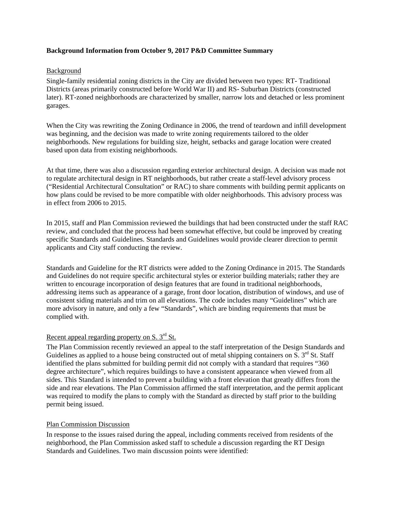#### **Background Information from October 9, 2017 P&D Committee Summary**

#### **Background**

Single-family residential zoning districts in the City are divided between two types: RT- Traditional Districts (areas primarily constructed before World War II) and RS- Suburban Districts (constructed later). RT-zoned neighborhoods are characterized by smaller, narrow lots and detached or less prominent garages.

When the City was rewriting the Zoning Ordinance in 2006, the trend of teardown and infill development was beginning, and the decision was made to write zoning requirements tailored to the older neighborhoods. New regulations for building size, height, setbacks and garage location were created based upon data from existing neighborhoods.

At that time, there was also a discussion regarding exterior architectural design. A decision was made not to regulate architectural design in RT neighborhoods, but rather create a staff-level advisory process ("Residential Architectural Consultation" or RAC) to share comments with building permit applicants on how plans could be revised to be more compatible with older neighborhoods. This advisory process was in effect from 2006 to 2015.

In 2015, staff and Plan Commission reviewed the buildings that had been constructed under the staff RAC review, and concluded that the process had been somewhat effective, but could be improved by creating specific Standards and Guidelines. Standards and Guidelines would provide clearer direction to permit applicants and City staff conducting the review.

Standards and Guideline for the RT districts were added to the Zoning Ordinance in 2015. The Standards and Guidelines do not require specific architectural styles or exterior building materials; rather they are written to encourage incorporation of design features that are found in traditional neighborhoods, addressing items such as appearance of a garage, front door location, distribution of windows, and use of consistent siding materials and trim on all elevations. The code includes many "Guidelines" which are more advisory in nature, and only a few "Standards", which are binding requirements that must be complied with.

#### Recent appeal regarding property on S. 3<sup>rd</sup> St.

The Plan Commission recently reviewed an appeal to the staff interpretation of the Design Standards and Guidelines as applied to a house being constructed out of metal shipping containers on S.  $3<sup>rd</sup>$  St. Staff identified the plans submitted for building permit did not comply with a standard that requires "360 degree architecture", which requires buildings to have a consistent appearance when viewed from all sides. This Standard is intended to prevent a building with a front elevation that greatly differs from the side and rear elevations. The Plan Commission affirmed the staff interpretation, and the permit applicant was required to modify the plans to comply with the Standard as directed by staff prior to the building permit being issued.

#### Plan Commission Discussion

In response to the issues raised during the appeal, including comments received from residents of the neighborhood, the Plan Commission asked staff to schedule a discussion regarding the RT Design Standards and Guidelines. Two main discussion points were identified: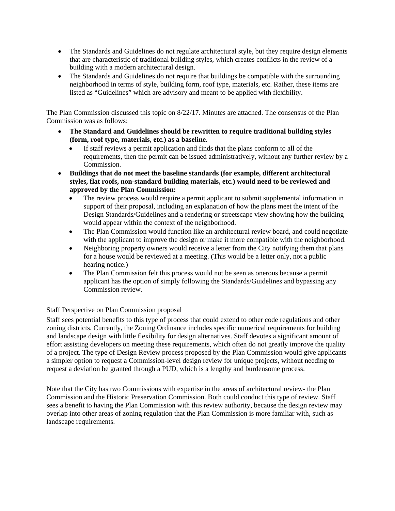- The Standards and Guidelines do not regulate architectural style, but they require design elements that are characteristic of traditional building styles, which creates conflicts in the review of a building with a modern architectural design.
- The Standards and Guidelines do not require that buildings be compatible with the surrounding neighborhood in terms of style, building form, roof type, materials, etc. Rather, these items are listed as "Guidelines" which are advisory and meant to be applied with flexibility.

The Plan Commission discussed this topic on 8/22/17. Minutes are attached. The consensus of the Plan Commission was as follows:

- **The Standard and Guidelines should be rewritten to require traditional building styles (form, roof type, materials, etc.) as a baseline.**
	- If staff reviews a permit application and finds that the plans conform to all of the requirements, then the permit can be issued administratively, without any further review by a Commission.
- **Buildings that do not meet the baseline standards (for example, different architectural styles, flat roofs, non-standard building materials, etc.) would need to be reviewed and approved by the Plan Commission:**
	- The review process would require a permit applicant to submit supplemental information in support of their proposal, including an explanation of how the plans meet the intent of the Design Standards/Guidelines and a rendering or streetscape view showing how the building would appear within the context of the neighborhood.
	- The Plan Commission would function like an architectural review board, and could negotiate with the applicant to improve the design or make it more compatible with the neighborhood.
	- Neighboring property owners would receive a letter from the City notifying them that plans for a house would be reviewed at a meeting. (This would be a letter only, not a public hearing notice.)
	- The Plan Commission felt this process would not be seen as onerous because a permit applicant has the option of simply following the Standards/Guidelines and bypassing any Commission review.

#### Staff Perspective on Plan Commission proposal

Staff sees potential benefits to this type of process that could extend to other code regulations and other zoning districts. Currently, the Zoning Ordinance includes specific numerical requirements for building and landscape design with little flexibility for design alternatives. Staff devotes a significant amount of effort assisting developers on meeting these requirements, which often do not greatly improve the quality of a project. The type of Design Review process proposed by the Plan Commission would give applicants a simpler option to request a Commission-level design review for unique projects, without needing to request a deviation be granted through a PUD, which is a lengthy and burdensome process.

Note that the City has two Commissions with expertise in the areas of architectural review- the Plan Commission and the Historic Preservation Commission. Both could conduct this type of review. Staff sees a benefit to having the Plan Commission with this review authority, because the design review may overlap into other areas of zoning regulation that the Plan Commission is more familiar with, such as landscape requirements.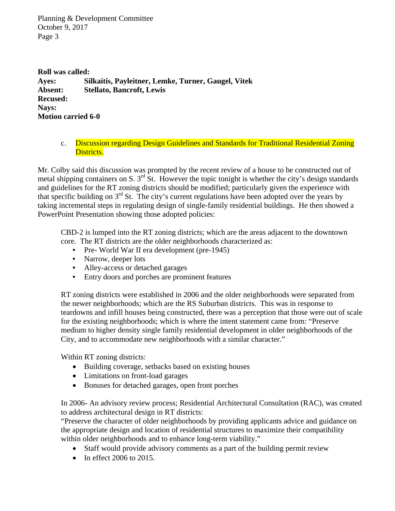**Roll was called: Ayes: Silkaitis, Payleitner, Lemke, Turner, Gaugel, Vitek Absent: Stellato, Bancroft, Lewis Recused: Nays: Motion carried 6-0** 

#### c. Discussion regarding Design Guidelines and Standards for Traditional Residential Zoning Districts.

Mr. Colby said this discussion was prompted by the recent review of a house to be constructed out of metal shipping containers on S. 3<sup>rd</sup> St. However the topic tonight is whether the city's design standards and guidelines for the RT zoning districts should be modified; particularly given the experience with that specific building on 3rd St. The city's current regulations have been adopted over the years by taking incremental steps in regulating design of single-family residential buildings. He then showed a PowerPoint Presentation showing those adopted policies:

CBD-2 is lumped into the RT zoning districts; which are the areas adjacent to the downtown core. The RT districts are the older neighborhoods characterized as:

- Pre- World War II era development (pre-1945)
- Narrow, deeper lots
- Alley-access or detached garages
- Entry doors and porches are prominent features

RT zoning districts were established in 2006 and the older neighborhoods were separated from the newer neighborhoods; which are the RS Suburban districts. This was in response to teardowns and infill houses being constructed, there was a perception that those were out of scale for the existing neighborhoods; which is where the intent statement came from: "Preserve medium to higher density single family residential development in older neighborhoods of the City, and to accommodate new neighborhoods with a similar character."

Within RT zoning districts:

- Building coverage, setbacks based on existing houses
- Limitations on front-load garages
- Bonuses for detached garages, open front porches

In 2006- An advisory review process; Residential Architectural Consultation (RAC), was created to address architectural design in RT districts:

"Preserve the character of older neighborhoods by providing applicants advice and guidance on the appropriate design and location of residential structures to maximize their compatibility within older neighborhoods and to enhance long-term viability."

- Staff would provide advisory comments as a part of the building permit review
- $\bullet$  In effect 2006 to 2015.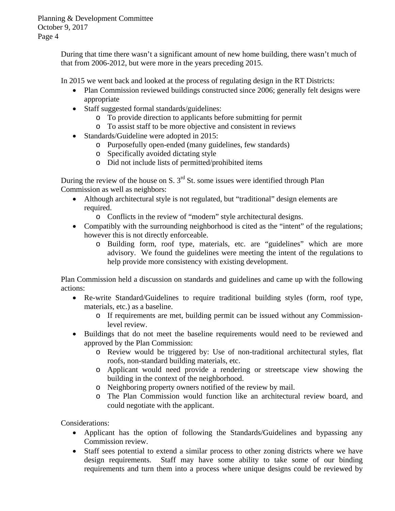> During that time there wasn't a significant amount of new home building, there wasn't much of that from 2006-2012, but were more in the years preceding 2015.

In 2015 we went back and looked at the process of regulating design in the RT Districts:

- Plan Commission reviewed buildings constructed since 2006; generally felt designs were appropriate
- Staff suggested formal standards/guidelines:
	- o To provide direction to applicants before submitting for permit
	- o To assist staff to be more objective and consistent in reviews
- Standards/Guideline were adopted in 2015:
	- o Purposefully open-ended (many guidelines, few standards)
	- o Specifically avoided dictating style
	- o Did not include lists of permitted/prohibited items

During the review of the house on S.  $3<sup>rd</sup>$  St. some issues were identified through Plan Commission as well as neighbors:

- Although architectural style is not regulated, but "traditional" design elements are required.
	- o Conflicts in the review of "modern" style architectural designs.
- Compatibly with the surrounding neighborhood is cited as the "intent" of the regulations; however this is not directly enforceable.
	- o Building form, roof type, materials, etc. are "guidelines" which are more advisory. We found the guidelines were meeting the intent of the regulations to help provide more consistency with existing development.

Plan Commission held a discussion on standards and guidelines and came up with the following actions:

- Re-write Standard/Guidelines to require traditional building styles (form, roof type, materials, etc.) as a baseline.
	- o If requirements are met, building permit can be issued without any Commissionlevel review.
- Buildings that do not meet the baseline requirements would need to be reviewed and approved by the Plan Commission:
	- o Review would be triggered by: Use of non-traditional architectural styles, flat roofs, non-standard building materials, etc.
	- o Applicant would need provide a rendering or streetscape view showing the building in the context of the neighborhood.
	- o Neighboring property owners notified of the review by mail.
	- o The Plan Commission would function like an architectural review board, and could negotiate with the applicant.

Considerations:

- Applicant has the option of following the Standards/Guidelines and bypassing any Commission review.
- Staff sees potential to extend a similar process to other zoning districts where we have design requirements. Staff may have some ability to take some of our binding requirements and turn them into a process where unique designs could be reviewed by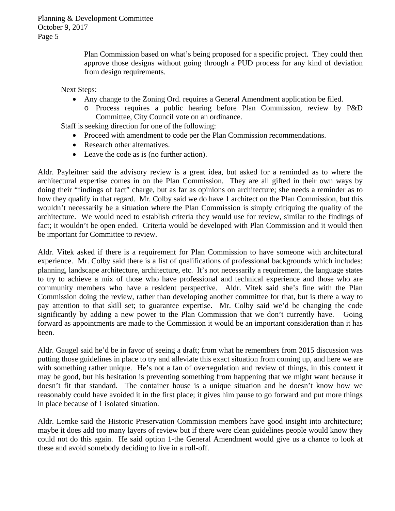> Plan Commission based on what's being proposed for a specific project. They could then approve those designs without going through a PUD process for any kind of deviation from design requirements.

Next Steps:

- Any change to the Zoning Ord. requires a General Amendment application be filed.
	- o Process requires a public hearing before Plan Commission, review by P&D Committee, City Council vote on an ordinance.

Staff is seeking direction for one of the following:

- Proceed with amendment to code per the Plan Commission recommendations.
- Research other alternatives.
- Leave the code as is (no further action).

Aldr. Payleitner said the advisory review is a great idea, but asked for a reminded as to where the architectural expertise comes in on the Plan Commission. They are all gifted in their own ways by doing their "findings of fact" charge, but as far as opinions on architecture; she needs a reminder as to how they qualify in that regard. Mr. Colby said we do have 1 architect on the Plan Commission, but this wouldn't necessarily be a situation where the Plan Commission is simply critiquing the quality of the architecture. We would need to establish criteria they would use for review, similar to the findings of fact; it wouldn't be open ended. Criteria would be developed with Plan Commission and it would then be important for Committee to review.

Aldr. Vitek asked if there is a requirement for Plan Commission to have someone with architectural experience. Mr. Colby said there is a list of qualifications of professional backgrounds which includes: planning, landscape architecture, architecture, etc. It's not necessarily a requirement, the language states to try to achieve a mix of those who have professional and technical experience and those who are community members who have a resident perspective. Aldr. Vitek said she's fine with the Plan Commission doing the review, rather than developing another committee for that, but is there a way to pay attention to that skill set; to guarantee expertise. Mr. Colby said we'd be changing the code significantly by adding a new power to the Plan Commission that we don't currently have. Going forward as appointments are made to the Commission it would be an important consideration than it has been.

Aldr. Gaugel said he'd be in favor of seeing a draft; from what he remembers from 2015 discussion was putting those guidelines in place to try and alleviate this exact situation from coming up, and here we are with something rather unique. He's not a fan of overregulation and review of things, in this context it may be good, but his hesitation is preventing something from happening that we might want because it doesn't fit that standard. The container house is a unique situation and he doesn't know how we reasonably could have avoided it in the first place; it gives him pause to go forward and put more things in place because of 1 isolated situation.

Aldr. Lemke said the Historic Preservation Commission members have good insight into architecture; maybe it does add too many layers of review but if there were clean guidelines people would know they could not do this again. He said option 1-the General Amendment would give us a chance to look at these and avoid somebody deciding to live in a roll-off.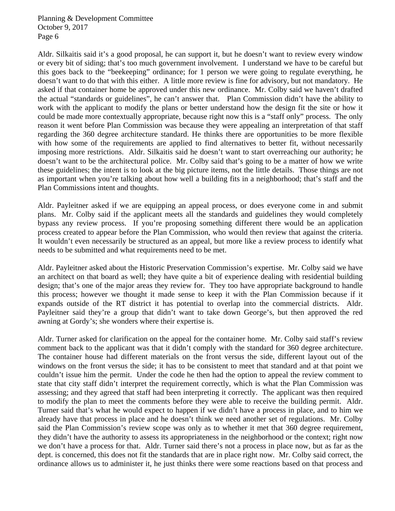Aldr. Silkaitis said it's a good proposal, he can support it, but he doesn't want to review every window or every bit of siding; that's too much government involvement. I understand we have to be careful but this goes back to the "beekeeping" ordinance; for 1 person we were going to regulate everything, he doesn't want to do that with this either. A little more review is fine for advisory, but not mandatory. He asked if that container home be approved under this new ordinance. Mr. Colby said we haven't drafted the actual "standards or guidelines", he can't answer that. Plan Commission didn't have the ability to work with the applicant to modify the plans or better understand how the design fit the site or how it could be made more contextually appropriate, because right now this is a "staff only" process. The only reason it went before Plan Commission was because they were appealing an interpretation of that staff regarding the 360 degree architecture standard. He thinks there are opportunities to be more flexible with how some of the requirements are applied to find alternatives to better fit, without necessarily imposing more restrictions. Aldr. Silkaitis said he doesn't want to start overreaching our authority; he doesn't want to be the architectural police. Mr. Colby said that's going to be a matter of how we write these guidelines; the intent is to look at the big picture items, not the little details. Those things are not as important when you're talking about how well a building fits in a neighborhood; that's staff and the Plan Commissions intent and thoughts.

Aldr. Payleitner asked if we are equipping an appeal process, or does everyone come in and submit plans. Mr. Colby said if the applicant meets all the standards and guidelines they would completely bypass any review process. If you're proposing something different there would be an application process created to appear before the Plan Commission, who would then review that against the criteria. It wouldn't even necessarily be structured as an appeal, but more like a review process to identify what needs to be submitted and what requirements need to be met.

Aldr. Payleitner asked about the Historic Preservation Commission's expertise. Mr. Colby said we have an architect on that board as well; they have quite a bit of experience dealing with residential building design; that's one of the major areas they review for. They too have appropriate background to handle this process; however we thought it made sense to keep it with the Plan Commission because if it expands outside of the RT district it has potential to overlap into the commercial districts. Aldr. Payleitner said they're a group that didn't want to take down George's, but then approved the red awning at Gordy's; she wonders where their expertise is.

Aldr. Turner asked for clarification on the appeal for the container home. Mr. Colby said staff's review comment back to the applicant was that it didn't comply with the standard for 360 degree architecture. The container house had different materials on the front versus the side, different layout out of the windows on the front versus the side; it has to be consistent to meet that standard and at that point we couldn't issue him the permit. Under the code he then had the option to appeal the review comment to state that city staff didn't interpret the requirement correctly, which is what the Plan Commission was assessing; and they agreed that staff had been interpreting it correctly. The applicant was then required to modify the plan to meet the comments before they were able to receive the building permit. Aldr. Turner said that's what he would expect to happen if we didn't have a process in place, and to him we already have that process in place and he doesn't think we need another set of regulations. Mr. Colby said the Plan Commission's review scope was only as to whether it met that 360 degree requirement, they didn't have the authority to assess its appropriateness in the neighborhood or the context; right now we don't have a process for that. Aldr. Turner said there's not a process in place now, but as far as the dept. is concerned, this does not fit the standards that are in place right now. Mr. Colby said correct, the ordinance allows us to administer it, he just thinks there were some reactions based on that process and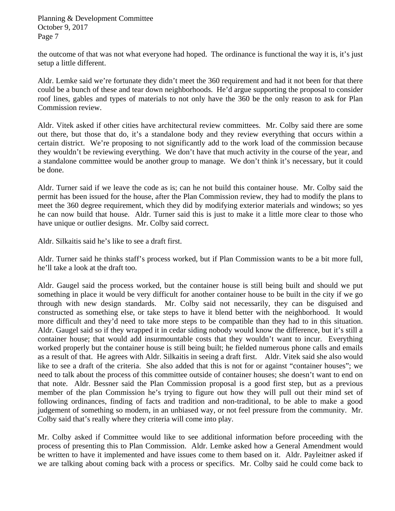the outcome of that was not what everyone had hoped. The ordinance is functional the way it is, it's just setup a little different.

Aldr. Lemke said we're fortunate they didn't meet the 360 requirement and had it not been for that there could be a bunch of these and tear down neighborhoods. He'd argue supporting the proposal to consider roof lines, gables and types of materials to not only have the 360 be the only reason to ask for Plan Commission review.

Aldr. Vitek asked if other cities have architectural review committees. Mr. Colby said there are some out there, but those that do, it's a standalone body and they review everything that occurs within a certain district. We're proposing to not significantly add to the work load of the commission because they wouldn't be reviewing everything. We don't have that much activity in the course of the year, and a standalone committee would be another group to manage. We don't think it's necessary, but it could be done.

Aldr. Turner said if we leave the code as is; can he not build this container house. Mr. Colby said the permit has been issued for the house, after the Plan Commission review, they had to modify the plans to meet the 360 degree requirement, which they did by modifying exterior materials and windows; so yes he can now build that house. Aldr. Turner said this is just to make it a little more clear to those who have unique or outlier designs. Mr. Colby said correct.

Aldr. Silkaitis said he's like to see a draft first.

Aldr. Turner said he thinks staff's process worked, but if Plan Commission wants to be a bit more full, he'll take a look at the draft too.

Aldr. Gaugel said the process worked, but the container house is still being built and should we put something in place it would be very difficult for another container house to be built in the city if we go through with new design standards. Mr. Colby said not necessarily, they can be disguised and constructed as something else, or take steps to have it blend better with the neighborhood. It would more difficult and they'd need to take more steps to be compatible than they had to in this situation. Aldr. Gaugel said so if they wrapped it in cedar siding nobody would know the difference, but it's still a container house; that would add insurmountable costs that they wouldn't want to incur. Everything worked properly but the container house is still being built; he fielded numerous phone calls and emails as a result of that. He agrees with Aldr. Silkaitis in seeing a draft first. Aldr. Vitek said she also would like to see a draft of the criteria. She also added that this is not for or against "container houses"; we need to talk about the process of this committee outside of container houses; she doesn't want to end on that note. Aldr. Bessner said the Plan Commission proposal is a good first step, but as a previous member of the plan Commission he's trying to figure out how they will pull out their mind set of following ordinances, finding of facts and tradition and non-traditional, to be able to make a good judgement of something so modern, in an unbiased way, or not feel pressure from the community. Mr. Colby said that's really where they criteria will come into play.

Mr. Colby asked if Committee would like to see additional information before proceeding with the process of presenting this to Plan Commission. Aldr. Lemke asked how a General Amendment would be written to have it implemented and have issues come to them based on it. Aldr. Payleitner asked if we are talking about coming back with a process or specifics. Mr. Colby said he could come back to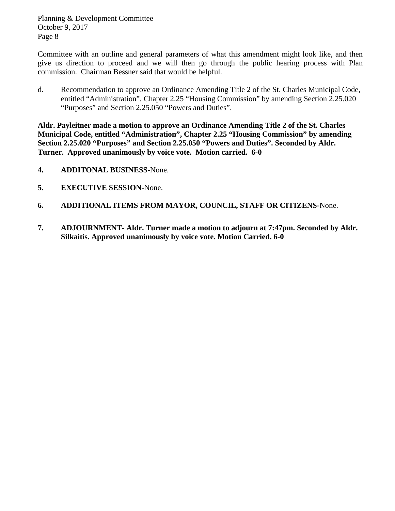Committee with an outline and general parameters of what this amendment might look like, and then give us direction to proceed and we will then go through the public hearing process with Plan commission. Chairman Bessner said that would be helpful.

d. Recommendation to approve an Ordinance Amending Title 2 of the St. Charles Municipal Code, entitled "Administration", Chapter 2.25 "Housing Commission" by amending Section 2.25.020 "Purposes" and Section 2.25.050 "Powers and Duties".

**Aldr. Payleitner made a motion to approve an Ordinance Amending Title 2 of the St. Charles Municipal Code, entitled "Administration", Chapter 2.25 "Housing Commission" by amending Section 2.25.020 "Purposes" and Section 2.25.050 "Powers and Duties". Seconded by Aldr. Turner. Approved unanimously by voice vote. Motion carried. 6-0** 

- **4. ADDITONAL BUSINESS-**None.
- **5. EXECUTIVE SESSION-**None.
- **6. ADDITIONAL ITEMS FROM MAYOR, COUNCIL, STAFF OR CITIZENS-**None.
- **7. ADJOURNMENT- Aldr. Turner made a motion to adjourn at 7:47pm. Seconded by Aldr. Silkaitis. Approved unanimously by voice vote. Motion Carried. 6-0**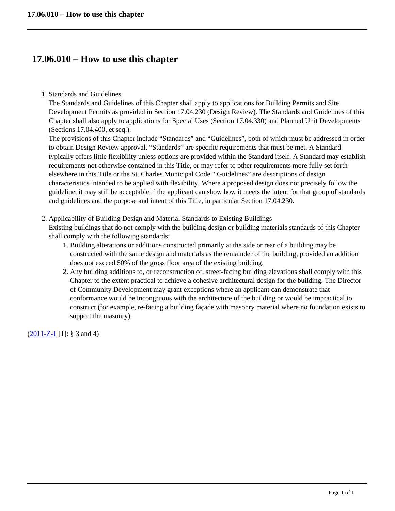# **17.06.010 – How to use this chapter**

1. Standards and Guidelines

The Standards and Guidelines of this Chapter shall apply to applications for Building Permits and Site Development Permits as provided in Section 17.04.230 (Design Review). The Standards and Guidelines of this Chapter shall also apply to applications for Special Uses (Section 17.04.330) and Planned Unit Developments (Sections 17.04.400, et seq.).

The provisions of this Chapter include "Standards" and "Guidelines", both of which must be addressed in order to obtain Design Review approval. "Standards" are specific requirements that must be met. A Standard typically offers little flexibility unless options are provided within the Standard itself. A Standard may establish requirements not otherwise contained in this Title, or may refer to other requirements more fully set forth elsewhere in this Title or the St. Charles Municipal Code. "Guidelines" are descriptions of design characteristics intended to be applied with flexibility. Where a proposed design does not precisely follow the guideline, it may still be acceptable if the applicant can show how it meets the intent for that group of standards and guidelines and the purpose and intent of this Title, in particular Section 17.04.230.

2. Applicability of Building Design and Material Standards to Existing Buildings

Existing buildings that do not comply with the building design or building materials standards of this Chapter shall comply with the following standards:

- 1. Building alterations or additions constructed primarily at the side or rear of a building may be constructed with the same design and materials as the remainder of the building, provided an addition does not exceed 50% of the gross floor area of the existing building.
- 2. Any building additions to, or reconstruction of, street-facing building elevations shall comply with this Chapter to the extent practical to achieve a cohesive architectural design for the building. The Director of Community Development may grant exceptions where an applicant can demonstrate that conformance would be incongruous with the architecture of the building or would be impractical to construct (for example, re-facing a building façade with masonry material where no foundation exists to support the masonry).

 $(2011-Z-1)$  $(2011-Z-1)$  [1]: § 3 and 4)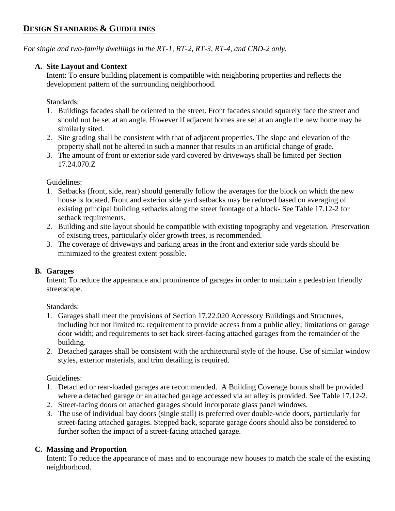# **DESIGN STANDARDS & GUIDELINES**

*For single and two-family dwellings in the RT-1, RT-2, RT-3, RT-4, and CBD-2 only.*

### **A. Site Layout and Context**

Intent: To ensure building placement is compatible with neighboring properties and reflects the development pattern of the surrounding neighborhood.

Standards:

- 1. Buildings facades shall be oriented to the street. Front facades should squarely face the street and should not be set at an angle. However if adjacent homes are set at an angle the new home may be similarly sited.
- 2. Site grading shall be consistent with that of adjacent properties. The slope and elevation of the property shall not be altered in such a manner that results in an artificial change of grade.
- 3. The amount of front or exterior side yard covered by driveways shall be limited per Section 17.24.070.Z

### Guidelines:

- 1. Setbacks (front, side, rear) should generally follow the averages for the block on which the new house is located. Front and exterior side yard setbacks may be reduced based on averaging of existing principal building setbacks along the street frontage of a block- See Table 17.12-2 for setback requirements.
- 2. Building and site layout should be compatible with existing topography and vegetation. Preservation of existing trees, particularly older growth trees, is recommended.
- 3. The coverage of driveways and parking areas in the front and exterior side yards should be minimized to the greatest extent possible.

### **B. Garages**

Intent: To reduce the appearance and prominence of garages in order to maintain a pedestrian friendly streetscape.

### Standards:

- 1. Garages shall meet the provisions of Section 17.22.020 Accessory Buildings and Structures, including but not limited to: requirement to provide access from a public alley; limitations on garage door width; and requirements to set back street-facing attached garages from the remainder of the building.
- 2. Detached garages shall be consistent with the architectural style of the house. Use of similar window styles, exterior materials, and trim detailing is required.

### Guidelines:

- 1. Detached or rear-loaded garages are recommended. A Building Coverage bonus shall be provided where a detached garage or an attached garage accessed via an alley is provided. See Table 17.12-2.
- 2. Street-facing doors on attached garages should incorporate glass panel windows.
- 3. The use of individual bay doors (single stall) is preferred over double-wide doors, particularly for street-facing attached garages. Stepped back, separate garage doors should also be considered to further soften the impact of a street-facing attached garage.

### **C. Massing and Proportion**

Intent: To reduce the appearance of mass and to encourage new houses to match the scale of the existing neighborhood.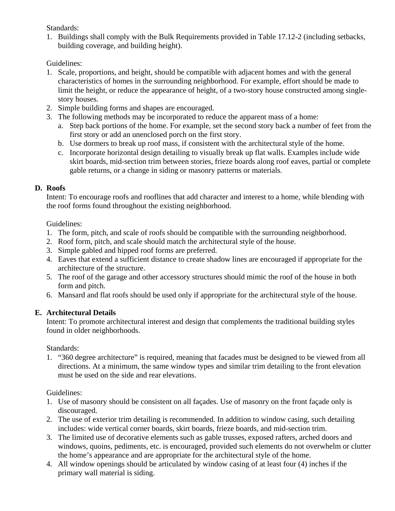Standards:

1. Buildings shall comply with the Bulk Requirements provided in Table 17.12-2 (including setbacks, building coverage, and building height).

Guidelines:

- 1. Scale, proportions, and height, should be compatible with adjacent homes and with the general characteristics of homes in the surrounding neighborhood. For example, effort should be made to limit the height, or reduce the appearance of height, of a two-story house constructed among singlestory houses.
- 2. Simple building forms and shapes are encouraged.
- 3. The following methods may be incorporated to reduce the apparent mass of a home:
	- a. Step back portions of the home. For example, set the second story back a number of feet from the first story or add an unenclosed porch on the first story.
	- b. Use dormers to break up roof mass, if consistent with the architectural style of the home.
	- c. Incorporate horizontal design detailing to visually break up flat walls. Examples include wide skirt boards, mid-section trim between stories, frieze boards along roof eaves, partial or complete gable returns, or a change in siding or masonry patterns or materials.

# **D. Roofs**

Intent: To encourage roofs and rooflines that add character and interest to a home, while blending with the roof forms found throughout the existing neighborhood.

### Guidelines:

- 1. The form, pitch, and scale of roofs should be compatible with the surrounding neighborhood.
- 2. Roof form, pitch, and scale should match the architectural style of the house.
- 3. Simple gabled and hipped roof forms are preferred.
- 4. Eaves that extend a sufficient distance to create shadow lines are encouraged if appropriate for the architecture of the structure.
- 5. The roof of the garage and other accessory structures should mimic the roof of the house in both form and pitch.
- 6. Mansard and flat roofs should be used only if appropriate for the architectural style of the house.

# **E. Architectural Details**

Intent: To promote architectural interest and design that complements the traditional building styles found in older neighborhoods.

Standards:

1. "360 degree architecture" is required, meaning that facades must be designed to be viewed from all directions. At a minimum, the same window types and similar trim detailing to the front elevation must be used on the side and rear elevations.

# Guidelines:

- 1. Use of masonry should be consistent on all façades. Use of masonry on the front façade only is discouraged.
- 2. The use of exterior trim detailing is recommended. In addition to window casing, such detailing includes: wide vertical corner boards, skirt boards, frieze boards, and mid-section trim.
- 3. The limited use of decorative elements such as gable trusses, exposed rafters, arched doors and windows, quoins, pediments, etc. is encouraged, provided such elements do not overwhelm or clutter the home's appearance and are appropriate for the architectural style of the home.
- 4. All window openings should be articulated by window casing of at least four (4) inches if the primary wall material is siding.